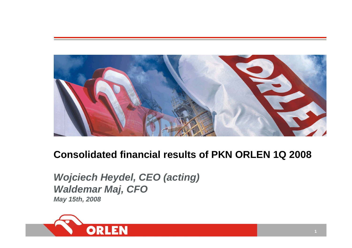

# **Consolidated financial results of PKN ORLEN 1Q 2008**

*Wojciech Heydel, CEO (acting) Waldemar Maj, CFO May 15th, 2008*

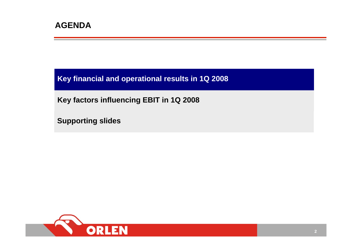**Key financial and operational results in 1Q 2008**

**Key factors influencing EBIT in 1Q 2008**

**Supporting slides**

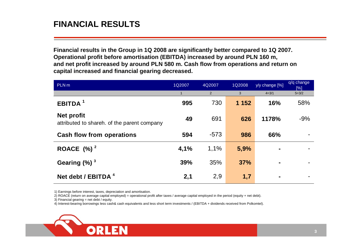## **FINANCIAL RESULTS**

**Financial results in the Group in 1Q 2008 are significantly better compared to 1Q 2007. Operational profit before amortisation (EBITDA) increased by around PLN 160 m, and net profit increased by around PLN 580 m. Cash flow from operations and return on capital increased and financial gearing decreased.**

| PLN <sub>m</sub>                                                 | 1Q2007 | 4Q2007         | 1Q2008  | y/y change [%] | q/q change<br>[%] |
|------------------------------------------------------------------|--------|----------------|---------|----------------|-------------------|
|                                                                  |        | $\overline{2}$ | 3       | $4 = 3/1$      | $5 = 3/2$         |
| EBITDA <sup>1</sup>                                              | 995    | 730            | 1 1 5 2 | 16%            | 58%               |
| <b>Net profit</b><br>attributed to shareh. of the parent company | 49     | 691            | 626     | 1178%          | $-9%$             |
| <b>Cash flow from operations</b>                                 | 594    | $-573$         | 986     | 66%            |                   |
| ROACE $(%)^2$                                                    | 4,1%   | 1,1%           | 5,9%    |                |                   |
| Gearing $(\%)$ <sup>3</sup>                                      | 39%    | 35%            | 37%     |                |                   |
| Net debt / EBITDA <sup>4</sup>                                   | 2,1    | 2,9            | 1,7     |                |                   |

1) Earnings before interest, taxes, depreciation and amortisation.

2) ROACE (return on average capital employed) = operational profit after taxes / average capital employed in the period (equity + net debt).

3) Financial gearing <sup>=</sup> net debt / equity.

4) Interest-bearing borrowings less cash& cash equivalents and less short term investments / (EBITDA + dividends received from Polkomtel).

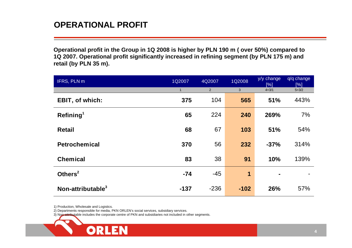#### **OPERATIONAL PROFIT**

**Operational profit in the Group in 1Q 2008 is higher by PLN 190 m ( over 50 %) compared to 1Q 2007. Operational profit significantl y increased in refining segment (by PLN 175 m) and retail (by PLN 35 m).**

| IFRS, PLN m            | 1Q2007       | 4Q2007         | 1Q2008                  |                  | q/q change<br>[%] |
|------------------------|--------------|----------------|-------------------------|------------------|-------------------|
|                        | $\mathbf{1}$ | $\overline{2}$ | $\sqrt{3}$              | [%]<br>$4 = 3/1$ | $5 = 3/2$         |
| <b>EBIT, of which:</b> | 375          | 104            | 565                     | 51%              | 443%              |
| Refining <sup>1</sup>  | 65           | 224            | 240                     | 269%             | 7%                |
| <b>Retail</b>          | 68           | 67             | 103                     | 51%              | 54%               |
| <b>Petrochemical</b>   | 370          | 56             | 232                     | $-37%$           | 314%              |
| <b>Chemical</b>        | 83           | 38             | 91                      | 10%              | 139%              |
| Others $2$             | $-74$        | $-45$          | $\overline{\mathbf{1}}$ |                  |                   |
| Non-attributable $3$   | $-137$       | $-236$         | $-102$                  | 26%              | 57%               |

1) Production, Wholesale and Logistics.

2) Departments responsible for media, PKN ORLEN's social services, subsidiary services.

**ORLEN** 

3) Non-attributable includes the corporate centre of PKN and subsidiaries not included in other segments.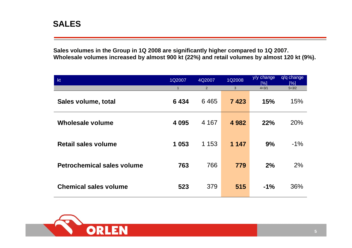#### **SALES**

**Sales volumes in the Group in 1Q 2008 are significantly higher compared to 1Q 2007. Wholesale volumes increased by almost 900 kt (22%) and retail volumes by almost 120 kt (9%).**

| kt                                | 1Q2007       | 4Q2007         | 1Q2008  | y/y change<br>[%] | q/q change<br>[%] |
|-----------------------------------|--------------|----------------|---------|-------------------|-------------------|
|                                   | $\mathbf{1}$ | $\overline{2}$ | 3       | $4=3/1$           | $5 = 3/2$         |
| Sales volume, total               | 6434         | 6465           | 7423    | 15%               | 15%               |
| Wholesale volume                  | 4 0 9 5      | 4 1 6 7        | 4 9 8 2 | 22%               | 20%               |
| <b>Retail sales volume</b>        | 1 0 5 3      | 1 1 5 3        | 1 1 4 7 | 9%                | $-1\%$            |
| <b>Petrochemical sales volume</b> | 763          | 766            | 779     | 2%                | 2%                |
| <b>Chemical sales volume</b>      | 523          | 379            | 515     | $-1%$             | 36%               |

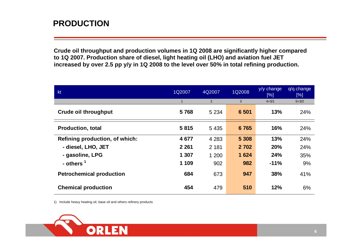### **PRODUCTION**

**Crude oil throughput and production volumes in 1Q 2008 are significantly higher compared to 1Q 2007. Production share of diesel, light heating oil (LHO) and aviation fuel JET increased by over 2.5 pp y/y in 1Q 2008 to the level over 50% in total refining production.**

| kt                              | 1Q2007       | 4Q2007  | 1Q2008  | y/y change<br>[%] | q/q change<br>[%] |
|---------------------------------|--------------|---------|---------|-------------------|-------------------|
|                                 | $\mathbf{1}$ | 2       | 3       | $4 = 3/1$         | $5 = 3/2$         |
| <b>Crude oil throughput</b>     | 5768         | 5 2 3 4 | 6 501   | 13%               | 24%               |
| <b>Production, total</b>        | 5815         | 5 4 3 5 | 6765    | 16%               | 24%               |
| Refining production, of which:  | 4677         | 4 2 8 3 | 5 3 0 8 | 13%               | 24%               |
| - diesel, LHO, JET              | 2 2 6 1      | 2 1 8 1 | 2 7 0 2 | <b>20%</b>        | 24%               |
| - gasoline, LPG                 | 1 307        | 1 200   | 1 6 2 4 | 24%               | 35%               |
| - others $1$                    | 1 109        | 902     | 982     | $-11%$            | 9%                |
| <b>Petrochemical production</b> | 684          | 673     | 947     | 38%               | 41%               |
| <b>Chemical production</b>      | 454          | 479     | 510     | 12%               | 6%                |

1) Include heavy heating oil, base oil and others refinery products

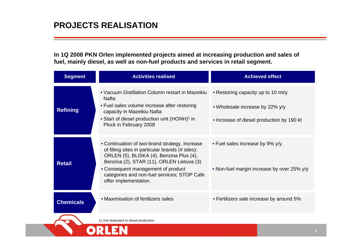### **PROJECTS REALISATION**

**In 1Q 2008 PKN Orlen implemented projects aimed at increasing production and sales of** fuel, mainly diesel, as well as non-fuel products and services in retail segment.

| <b>Segment</b>   | <b>Activities realised</b>                                                                                                                                                                                                                                                                                | <b>Achieved effect</b>                                                                                             |
|------------------|-----------------------------------------------------------------------------------------------------------------------------------------------------------------------------------------------------------------------------------------------------------------------------------------------------------|--------------------------------------------------------------------------------------------------------------------|
| <b>Refining</b>  | • Vacuum Distillation Column restart in Mazeikiu<br><b>Nafta</b><br>• Fuel sales volume increase after restoring<br>capacity in Mazeikiu Nafta<br>• Start of diesel production unit (HONH) <sup>1</sup> in<br>Plock in February 2008                                                                      | • Restoring capacity up to 10 mt/y<br>• Wholesale increase by 22% y/y<br>• Increase of diesel production by 190 kt |
| <b>Retail</b>    | • Continuation of two-brand strategy, increase<br>of filling sites in particular brands (# sites):<br>ORLEN (5), BLISKA (4), Benzina Plus (4),<br>Benzina (2), STAR (11), ORLEN Lietuva (3)<br>• Consequent management of product<br>categories and non-fuel services; STOP Cafe<br>offer implementation. | • Fuel sales increase by 9% y/y.<br>• Non-fuel margin increase by over 25% y/y                                     |
| <b>Chemicals</b> | • Maximisation of fertilizers sales                                                                                                                                                                                                                                                                       | • Fertilizers sale increase by around 5%                                                                           |
|                  | 1) Unit dedicated to diesel production                                                                                                                                                                                                                                                                    |                                                                                                                    |
|                  |                                                                                                                                                                                                                                                                                                           |                                                                                                                    |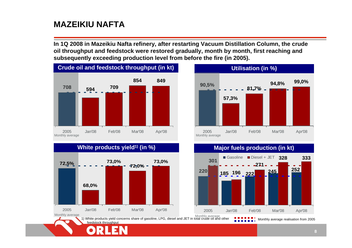## **MAZEIKIU NAFTA**

**In 1Q 2008 in Mazeikiu Nafta refinery, after restarting Vacuum Distillation Column, the crude oil throughput and feedstock were restored gradually, month by month, first reaching and subsequently exceeding production level from before the fire (in 2005).**



#### **White products yield1) (in %)**





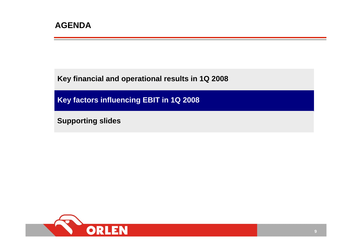**Key financial and operational results in 1Q 2008**

**Key factors influencing EBIT in 1Q 2008**

**Supporting slides**

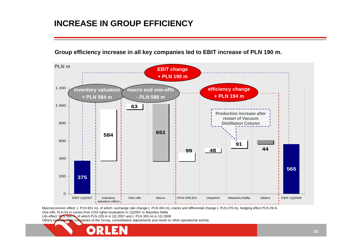### **INCREASE IN GROUP EFFICIENCY**

**Group efficienc y increase in all key companies led to EBIT increase of PLN 190 m.**



Macroeconomic effect: (- PLN 651 m), of which: exchange rate change (- PLN 404 m), cracks and differential change (- PLN 276 m), hedging effect PLN 29 m.

One-offs: PLN 63 m comes fromCO2 rights revaluation in 1Q2007 in Mazeikiu Nafta

Lifo effect: PLN 584 m, of which PLN 229 m in 1Q 2007 and (- PLN 355 m) in 1Q 2008

Others include: other companies of the Group, consolidation adjustments and result on other operational activity.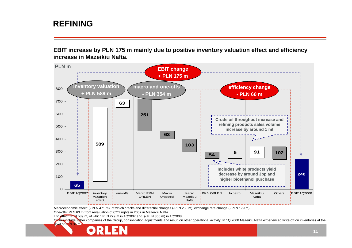#### **REFINING**

**EBIT increase by PLN 175 m mainly due to positive inventory valuation effect and efficiency increase in Mazeikiu Nafta.** 



Macroeconomic effect: (- PLN 471 m), of which cracks and differential changes (-PLN 238 m), exchange rate change (- PLN 179 m)

One-offs: PLN 63 m from revaluation of CO2 rights in 2007 in Mazeikiu Nafta

Lifo effect: PLN 589 m, of which PLN 229 <sup>m</sup> in 1Q2007 and (- PLN 360 m) in 1Q2008

**Others includ**e: **ot**her companies of the Group, consolidation adjustments and result on other operational activity. In 1Q 2008 Mazeikiu Nafta experienced write-off on inventories at the

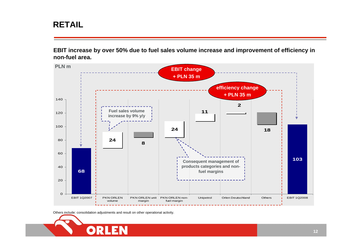## **RETAIL**

**EBIT increase by over 50% due to fuel sales volume increase and improvement of efficiency in non-fuel area.**



Others include: consolidation adjustments and result on other operational activity.

ORI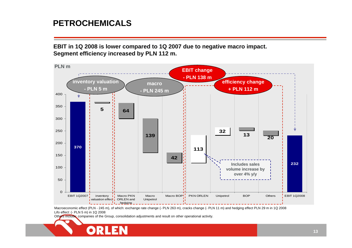#### **PETROCHEMICALS**

**EBIT in 1Q 2008 is lower compared to 1Q 2007 due to negative macro impact. Segment efficiency increased by PLN 112 m.**



Macroeconomic effect (PLN - 245 m), of which: exchange rate change (- PLN 263 m), cracks change (- PLN 11 m) and hedging effect PLN 29 <sup>m</sup> in 1Q 2008 Lifo effect: (- PLN 5 m) in 1Q 2008

Others include: companies of the Group, consolidation adjustments and result on other operational activity.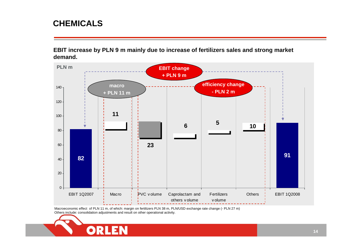#### **CHEMICALS**

**EBIT increase by PLN 9 m mainly due to increase of fertilizers sales and strong market demand.**



Macroeconomic effect of PLN 11 m, of which: margin on fertilizers PLN 38 m, PLN/USD exchange rate change (- PLN 27 m) Others include: consolidation adjustments and result on other operational activity.

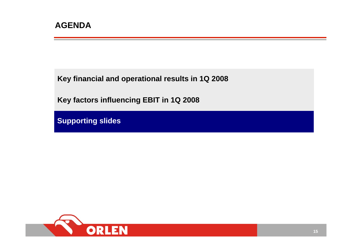**Key financial and operational results in 1Q 2008**

**Key factors influencing EBIT in 1Q 2008**

**Supporting slides**

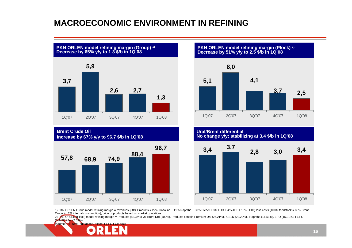### **MACROECONOMIC ENVIRONMENT IN REFINING**



**Brent Crude OilIncrease by 67% y/y to 96.7 \$/b in 1Q'08**



**PKN ORLEN model refining margin (Plock) 2) Decrease by 51% y/y to 2.5 \$/b in 1Q'08**



**Ural/Brent differentialNo change y/y; stabilizing at 3.4 \$/b in 1Q'08**



1) PKN ORLEN Group model refining margin = revenues (88% Products = 22% Gasoline + 11% Naphtha + 38% Diesel + 3% LHO + 4% JET + 10% HHO) less costs (100% feedstock = 88% Brent Crude + 12% internal consumption); price of products based on market quotations.

2) PKN ORLEN (Plock) model refining margin = Products (88.36%) vs. Brent Dtd (100%). Products contain Premium Unl (25.21%), USLD (23.20%), Naphtha (16.51%), LHO (15.31%), HSFO (5.44%) i Jet (2.69%) (source: CIF NWE que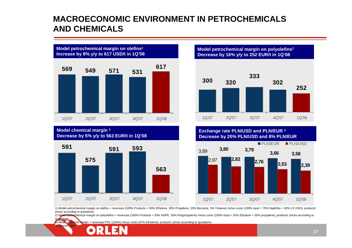#### **MACROECONOMIC ENVIRONMENT IN PETROCHEMICALS AND CHEMICALS**





**Model chemical margi n <sup>3</sup> Decrease by 5 %y/y to 563 EUR/t in 1Q'08**



**Model petrochemical margin on pol y olefins2 Decrease by 16 %y/y to 252 EUR/t in 1 Q'08**



**Exchange rate PLN/USD and PLN/EUR 4 Decrease by 20 % PLN/USD and 8% PLN/EUR**



1) Model petroche mical margin on olefins = revenues (100% Products = 50% Ethylene, 30% Propylene, 15% Benzene, 5% Toluene) minus costs (100% input = 70% Naphtha + 30% LS VGO); products' prices according to quotations

2) Model petrochemical margin on polyolefins = revenues (100% Products = 50% HDPE, 50% Polypropylene) minus costs (100% input = 50% Ethylene + 50% propylene); products' prices according to quotations

3) Model chemical margin = revenues PVC (100%) minus costs (47% Ethylene); products' prices according to quotations

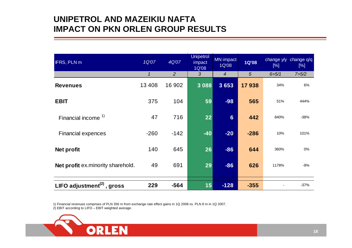#### **UNIPETROL AND MAZEIKIU NAFTA IMPACT ON PKN ORLEN GROUP RESULTS**

| <b>IFRS, PLN m</b>                | 1Q'07        | 4Q'07  | <b>Unipetrol</b><br>impact<br>1Q'08 | <b>MN</b> impact<br>1Q'08 | <b>1Q'08</b>   | change y/y<br>[%] | change q/q<br>[%] |
|-----------------------------------|--------------|--------|-------------------------------------|---------------------------|----------------|-------------------|-------------------|
|                                   | $\mathcal I$ | 2      | 3                                   | $\boldsymbol{4}$          | $\overline{5}$ | $6 = 5/1$         | $7 = 5/2$         |
| <b>Revenues</b>                   | 13 4 08      | 16 902 | 3 0 8 8                             | 3653                      | 17938          | 34%               | 6%                |
| <b>EBIT</b>                       | 375          | 104    | 59                                  | $-98$                     | 565            | 51%               | 444%              |
| Financial income <sup>1)</sup>    | 47           | 716    | 22                                  | 6 <sup>1</sup>            | 442            | 840%              | $-38%$            |
| <b>Financial expences</b>         | $-260$       | $-142$ | $-40$                               | $-20$                     | $-286$         | 10%               | 101%              |
| Net profit                        | 140          | 645    | 26                                  | $-86$                     | 644            | 360%              | 0%                |
| Net profit ex.minority sharehold. | 49           | 691    | 29                                  | $-86$                     | 626            | 1178%             | $-9%$             |
| LIFO adjustment $(2)$ , gross     | 229          | $-564$ | 15                                  | $-128$                    | $-355$         |                   | $-37%$            |

1) Financial revenues comprises of PLN 356 m from exchange rate effect gains in 1Q 2008 vs. PLN 8 m in 1Q 2007.

2) EBIT according to LIFO – EBIT weighted average.

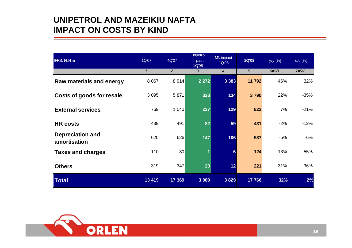#### **UNIPETROL AND MAZEIKIU NAFTAIMPACT ON COSTS BY KIND**

| <b>IFRS, PLN m</b>                      | 1Q'07        | 4Q'07          | <b>Unipetrol</b><br>impact<br>1Q'08 | <b>MN</b> impact<br>1Q'08 | <b>1Q'08</b> | y/y [%]   | $q/q$ [%] |
|-----------------------------------------|--------------|----------------|-------------------------------------|---------------------------|--------------|-----------|-----------|
|                                         | $\mathcal I$ | $\overline{2}$ | 3                                   | $\overline{4}$            | 5            | $6 = 5/1$ | $7 = 5/2$ |
| <b>Raw materials and energy</b>         | 8 0 67       | 8914           | 2 2 7 2                             | 3 3 8 3                   | 11 792       | 46%       | 32%       |
| Costs of goods for resale               | 3 0 9 5      | 5 871          | 328                                 | 134                       | 3790         | 22%       | $-35%$    |
| <b>External services</b>                | 769          | 1040           | 237                                 | 129                       | 822          | 7%        | $-21%$    |
| <b>HR</b> costs                         | 439          | 491            | 82                                  | 59                        | 431          | $-2%$     | $-12%$    |
| <b>Depreciation and</b><br>amortisation | 620          | 626            | 147                                 | 106                       | 587          | $-5%$     | $-6%$     |
| <b>Taxes and charges</b>                | 110          | 80             | 1                                   | 6                         | 124          | 13%       | 55%       |
| <b>Others</b>                           | 319          | 347            | 23                                  | 12                        | 221          | $-31%$    | $-36%$    |
| <b>Total</b>                            | 13 4 19      | 17 369         | 3 0 8 9                             | 3829                      | 17 766       | 32%       | 2%        |

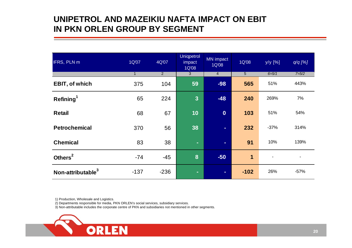### **UNIPETROL AND MAZEIKIU NAFTA IMPACT ON EBIT IN PKN ORLEN GROUP BY SEGMENT**

| IFRS, PLN m                   | 1Q'07        | 4Q'07          | <b>Uniqpetrol</b><br>impact<br>1Q'08 | MN impact<br>1Q'08 | 1Q'08          | y/y [%]        | $q/q$ [%]      |
|-------------------------------|--------------|----------------|--------------------------------------|--------------------|----------------|----------------|----------------|
|                               | $\mathbf{1}$ | $\overline{2}$ | 3                                    | $\overline{4}$     | $\overline{5}$ | $6 = 5/1$      | $7 = 5/2$      |
| <b>EBIT, of which</b>         | 375          | 104            | 59                                   | $-98$              | 565            | 51%            | 443%           |
| Refining <sup>1</sup>         | 65           | 224            | $\overline{3}$                       | $-48$              | 240            | 269%           | 7%             |
| <b>Retail</b>                 | 68           | 67             | 10                                   | $\boldsymbol{0}$   | 103            | 51%            | 54%            |
| <b>Petrochemical</b>          | 370          | 56             | 38                                   | $\sim$             | 232            | $-37%$         | 314%           |
| <b>Chemical</b>               | 83           | 38             | $\sim$                               | $\sim$             | 91             | 10%            | 139%           |
| Others <sup>2</sup>           | $-74$        | $-45$          | 8                                    | $-50$              | 1              | $\blacksquare$ | $\blacksquare$ |
| Non-attributable <sup>3</sup> | $-137$       | $-236$         | $\blacksquare$                       | ÷                  | $-102$         | 26%            | $-57%$         |

1) Production, Wholesale and Logistics.

2) Departments responsible for media, PKN ORLEN's social services, subsidiary services.

3) Non-attributable includes the corporate centre of PK N and subsidiaries not mentioned in other seg ments.

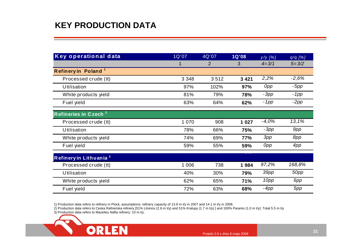## **KEY PRODUCTION DATA**

| <b>Key operational data</b>        | 1Q'07   | 4Q'07 | <b>1Q'08</b> | у/у [%]   | $q/q$ [%] |
|------------------------------------|---------|-------|--------------|-----------|-----------|
|                                    | 1       | 2     | 3            | $4 = 3/1$ | $5 = 3/2$ |
| Refinery in Poland <sup>1</sup>    |         |       |              |           |           |
| Processed crude (tt)               | 3 3 4 8 | 3512  | 3 4 2 1      | 2,2%      | $-2,6%$   |
| <b>Utilisation</b>                 | 97%     | 102%  | 97%          | 0pp       | $-5pp$    |
| White products yield               | 81%     | 79%   | 78%          | $-3pp$    | $-1pp$    |
| Fuel yield                         | 63%     | 64%   | 62%          | -1pp      | $-2pp$    |
| Refineries in Czech <sup>2</sup>   |         |       |              |           |           |
| Processed crude (tt)               | 1 0 7 0 | 908   | 1 0 2 7      | $-4,0%$   | 13,1%     |
| Utilisation                        | 78%     | 66%   | 75%          | $-3pp$    | 9pp       |
| White products yield               | 74%     | 69%   | 77%          | 3pp       | 8pp       |
| Fuel yield                         | 59%     | 55%   | 59%          | 0pp       | 4pp       |
| Refinery in Lithuania <sup>3</sup> |         |       |              |           |           |
| Processed crude (tt)               | 1 0 0 6 | 738   | 1984         | 97,2%     | 168,8%    |
| <b>Utilisation</b>                 | 40%     | 30%   | 79%          | 39pp      | 50pp      |
| White products yield               | 62%     | 65%   | 71%          | 10pp      | 6pp       |
| Fuel yield                         | 72%     | 63%   | 68%          | -4pp      | 5pp       |

1) Production data refers to refinery in Plock, assumptions: refinery capacity of 13.8 m t/y in 2007 and 14.1 m t/y in 2008.

2) Production data refers to Ceska Rafinerska refinery [51% Litvinov (2.8 m t/y) and 51% Kralupy (1.7 m t/y) ] and 100% Paramo (1.0 m t/y): Total 5.5 m t/y

3) Production data refers to Mazeikiu Nafta refinery: 10 m t/y.

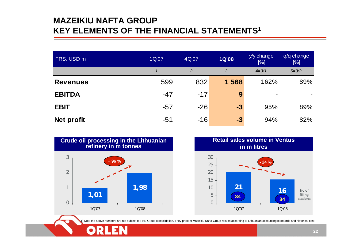## **MAZEIKIU NAFTA GROUPKEY ELEMENTS OF THE FINANCIAL STATEMENTS1**

| <b>IFRS, USD m</b> | 1Q'07 | 4Q'07          | <b>1Q'08</b> | y/y change<br>[%] | q/q change<br>[%] |
|--------------------|-------|----------------|--------------|-------------------|-------------------|
|                    |       | $\overline{2}$ | 3            | $4 = 3/1$         | $5 = 3/2$         |
| <b>Revenues</b>    | 599   | 832            | 1 568        | 162%              | 89%               |
| <b>EBITDA</b>      | $-47$ | $-17$          | 9            |                   |                   |
| <b>EBIT</b>        | $-57$ | $-26$          | $-3$         | 95%               | 89%               |
| Net profit         | -51   | $-16$          | $-3$         | 94%               | 82%               |





1) Note the above numbers are not subject to PKN Group consolidation. They present Mazeikiu Nafta Group results according to Lithuanian accounting standards and historical cost